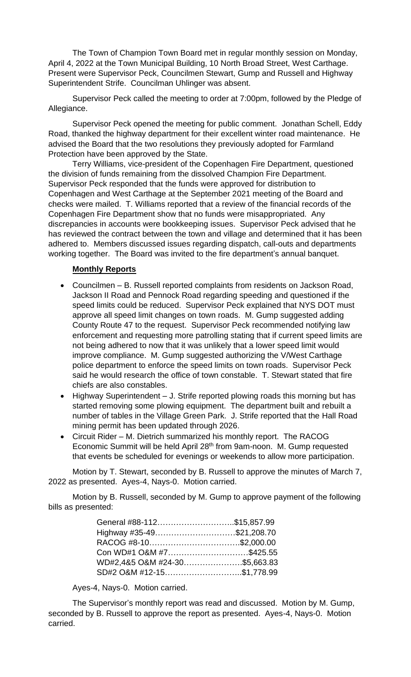The Town of Champion Town Board met in regular monthly session on Monday, April 4, 2022 at the Town Municipal Building, 10 North Broad Street, West Carthage. Present were Supervisor Peck, Councilmen Stewart, Gump and Russell and Highway Superintendent Strife. Councilman Uhlinger was absent.

Supervisor Peck called the meeting to order at 7:00pm, followed by the Pledge of Allegiance.

Supervisor Peck opened the meeting for public comment. Jonathan Schell, Eddy Road, thanked the highway department for their excellent winter road maintenance. He advised the Board that the two resolutions they previously adopted for Farmland Protection have been approved by the State.

Terry Williams, vice-president of the Copenhagen Fire Department, questioned the division of funds remaining from the dissolved Champion Fire Department. Supervisor Peck responded that the funds were approved for distribution to Copenhagen and West Carthage at the September 2021 meeting of the Board and checks were mailed. T. Williams reported that a review of the financial records of the Copenhagen Fire Department show that no funds were misappropriated. Any discrepancies in accounts were bookkeeping issues. Supervisor Peck advised that he has reviewed the contract between the town and village and determined that it has been adhered to. Members discussed issues regarding dispatch, call-outs and departments working together. The Board was invited to the fire department's annual banquet.

## **Monthly Reports**

- Councilmen B. Russell reported complaints from residents on Jackson Road, Jackson II Road and Pennock Road regarding speeding and questioned if the speed limits could be reduced. Supervisor Peck explained that NYS DOT must approve all speed limit changes on town roads. M. Gump suggested adding County Route 47 to the request. Supervisor Peck recommended notifying law enforcement and requesting more patrolling stating that if current speed limits are not being adhered to now that it was unlikely that a lower speed limit would improve compliance. M. Gump suggested authorizing the V/West Carthage police department to enforce the speed limits on town roads. Supervisor Peck said he would research the office of town constable. T. Stewart stated that fire chiefs are also constables.
- Highway Superintendent J. Strife reported plowing roads this morning but has started removing some plowing equipment. The department built and rebuilt a number of tables in the Village Green Park. J. Strife reported that the Hall Road mining permit has been updated through 2026.
- Circuit Rider M. Dietrich summarized his monthly report. The RACOG Economic Summit will be held April 28<sup>th</sup> from 9am-noon. M. Gump requested that events be scheduled for evenings or weekends to allow more participation.

Motion by T. Stewart, seconded by B. Russell to approve the minutes of March 7, 2022 as presented. Ayes-4, Nays-0. Motion carried.

Motion by B. Russell, seconded by M. Gump to approve payment of the following bills as presented:

| General #88-112\$15,857.99    |  |
|-------------------------------|--|
| Highway #35-49\$21,208.70     |  |
| RACOG #8-10\$2,000.00         |  |
| Con WD#1 O&M #7\$425.55       |  |
| WD#2,4&5 O&M #24-30\$5,663.83 |  |
| SD#2 O&M #12-15\$1,778.99     |  |

Ayes-4, Nays-0. Motion carried.

The Supervisor's monthly report was read and discussed. Motion by M. Gump, seconded by B. Russell to approve the report as presented. Ayes-4, Nays-0. Motion carried.